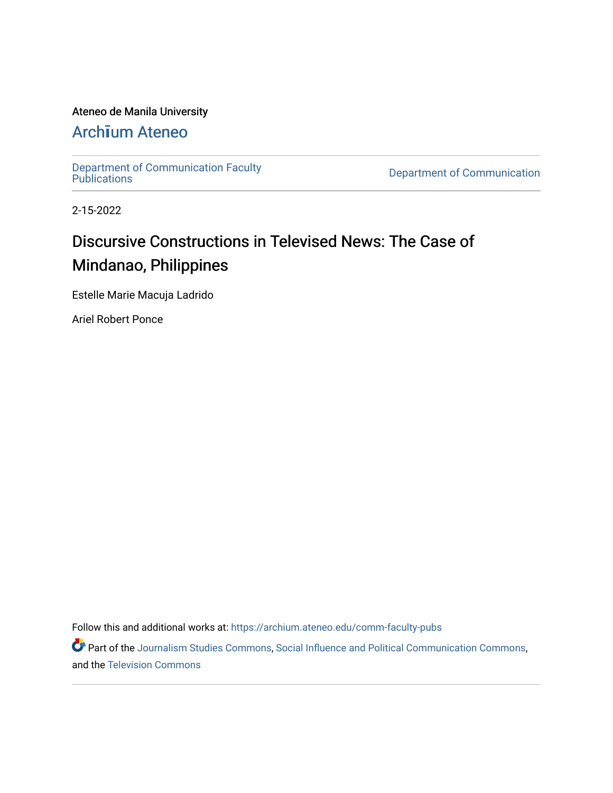### Ateneo de Manila University

### Arch**ī**[um Ateneo](https://archium.ateneo.edu/)

[Department of Communication Faculty](https://archium.ateneo.edu/comm-faculty-pubs)<br>Publications

**Department of Communication** 

2-15-2022

## Discursive Constructions in Televised News: The Case of Mindanao, Philippines

Estelle Marie Macuja Ladrido

Ariel Robert Ponce

Follow this and additional works at: [https://archium.ateneo.edu/comm-faculty-pubs](https://archium.ateneo.edu/comm-faculty-pubs?utm_source=archium.ateneo.edu%2Fcomm-faculty-pubs%2F14&utm_medium=PDF&utm_campaign=PDFCoverPages) 

Part of the [Journalism Studies Commons](http://network.bepress.com/hgg/discipline/333?utm_source=archium.ateneo.edu%2Fcomm-faculty-pubs%2F14&utm_medium=PDF&utm_campaign=PDFCoverPages), [Social Influence and Political Communication Commons](http://network.bepress.com/hgg/discipline/337?utm_source=archium.ateneo.edu%2Fcomm-faculty-pubs%2F14&utm_medium=PDF&utm_campaign=PDFCoverPages), and the [Television Commons](http://network.bepress.com/hgg/discipline/1143?utm_source=archium.ateneo.edu%2Fcomm-faculty-pubs%2F14&utm_medium=PDF&utm_campaign=PDFCoverPages)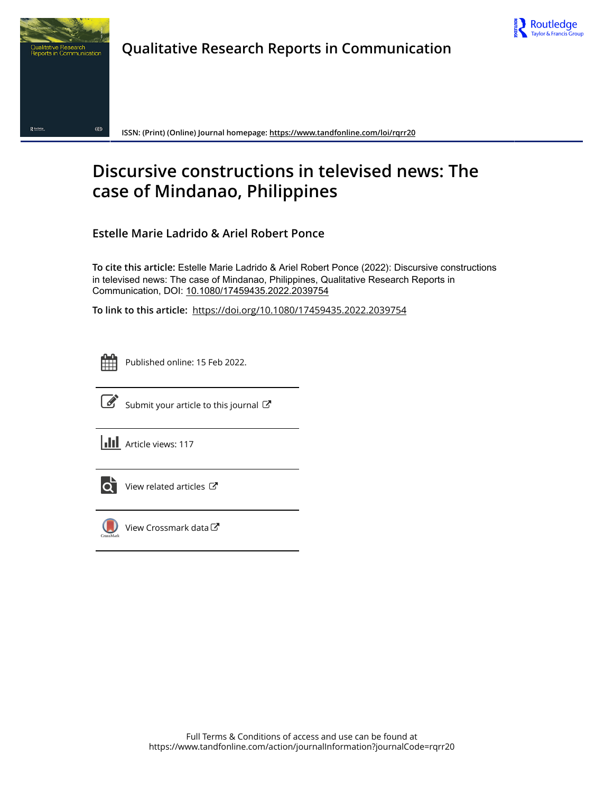

## **Qualitative Research Reports in Communication**



**ISSN: (Print) (Online) Journal homepage:<https://www.tandfonline.com/loi/rqrr20>**

## **Discursive constructions in televised news: The case of Mindanao, Philippines**

**Estelle Marie Ladrido & Ariel Robert Ponce**

**To cite this article:** Estelle Marie Ladrido & Ariel Robert Ponce (2022): Discursive constructions in televised news: The case of Mindanao, Philippines, Qualitative Research Reports in Communication, DOI: [10.1080/17459435.2022.2039754](https://www.tandfonline.com/action/showCitFormats?doi=10.1080/17459435.2022.2039754)

**To link to this article:** <https://doi.org/10.1080/17459435.2022.2039754>



Published online: 15 Feb 2022.



 $\overrightarrow{S}$  [Submit your article to this journal](https://www.tandfonline.com/action/authorSubmission?journalCode=rqrr20&show=instructions)  $\overrightarrow{S}$ 

**III** Article views: 117



[View related articles](https://www.tandfonline.com/doi/mlt/10.1080/17459435.2022.2039754) C



[View Crossmark data](http://crossmark.crossref.org/dialog/?doi=10.1080/17459435.2022.2039754&domain=pdf&date_stamp=2022-02-15)<sup>で</sup>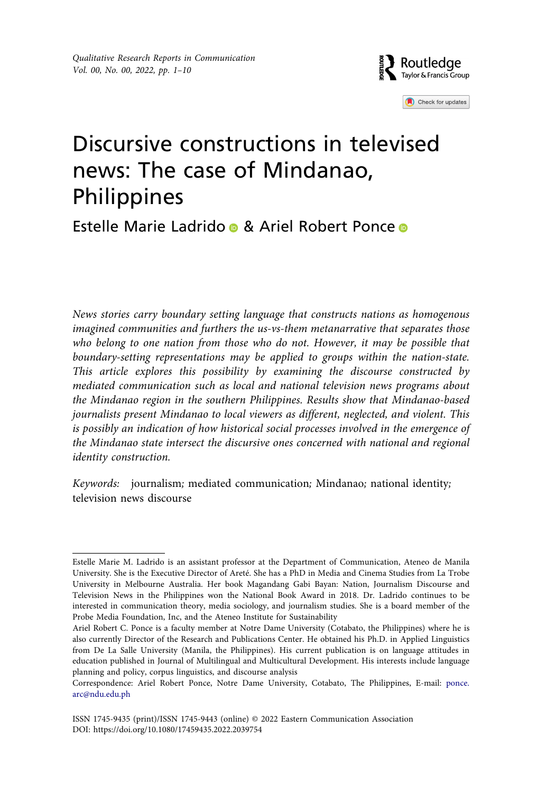

Check for updates

# Discursive constructions in televised news: The case of Mindanao, Philippines

### Est[e](http://orcid.org/0000-0002-5194-8489)lle Marie Ladrido • & Ariel Robert Ponce •

*News stories carry boundary setting language that constructs nations as homogenous imagined communities and furthers the us-vs-them metanarrative that separates those*  who belong to one nation from those who do not. However, it may be possible that *boundary-setting representations may be applied to groups within the nation-state. This article explores this possibility by examining the discourse constructed by mediated communication such as local and national television news programs about the Mindanao region in the southern Philippines. Results show that Mindanao-based journalists present Mindanao to local viewers as different, neglected, and violent. This is possibly an indication of how historical social processes involved in the emergence of the Mindanao state intersect the discursive ones concerned with national and regional identity construction.*

*Keywords:* journalism*;* mediated communication*;* Mindanao*;* national identity*;*  television news discourse

Estelle Marie M. Ladrido is an assistant professor at the Department of Communication, Ateneo de Manila University. She is the Executive Director of Areté. She has a PhD in Media and Cinema Studies from La Trobe University in Melbourne Australia. Her book Magandang Gabi Bayan: Nation, Journalism Discourse and Television News in the Philippines won the National Book Award in 2018. Dr. Ladrido continues to be interested in communication theory, media sociology, and journalism studies. She is a board member of the Probe Media Foundation, Inc, and the Ateneo Institute for Sustainability

Ariel Robert C. Ponce is a faculty member at Notre Dame University (Cotabato, the Philippines) where he is also currently Director of the Research and Publications Center. He obtained his Ph.D. in Applied Linguistics from De La Salle University (Manila, the Philippines). His current publication is on language attitudes in education published in Journal of Multilingual and Multicultural Development. His interests include language planning and policy, corpus linguistics, and discourse analysis

Correspondence: Ariel Robert Ponce, Notre Dame University, Cotabato, The Philippines, E-mail: ponce. arc@ndu.edu.ph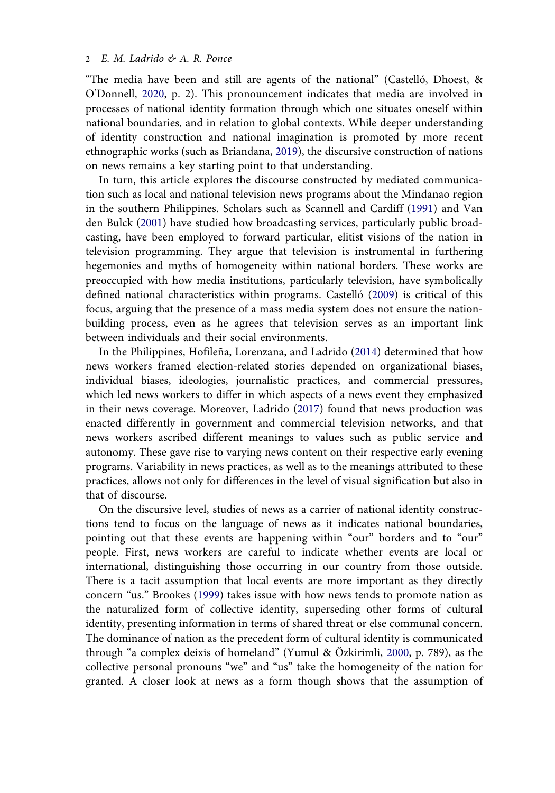<span id="page-3-3"></span>"The media have been and still are agents of the national" (Castelló, Dhoest, & O'Donnell, [2020](#page-10-0), p. 2). This pronouncement indicates that media are involved in processes of national identity formation through which one situates oneself within national boundaries, and in relation to global contexts. While deeper understanding of identity construction and national imagination is promoted by more recent ethnographic works (such as Briandana, [2019](#page-10-1)), the discursive construction of nations on news remains a key starting point to that understanding.

<span id="page-3-7"></span><span id="page-3-6"></span><span id="page-3-0"></span>In turn, this article explores the discourse constructed by mediated communication such as local and national television news programs about the Mindanao region in the southern Philippines. Scholars such as Scannell and Cardiff [\(1991\)](#page-11-0) and Van den Bulck ([2001\)](#page-11-1) have studied how broadcasting services, particularly public broadcasting, have been employed to forward particular, elitist visions of the nation in television programming. They argue that television is instrumental in furthering hegemonies and myths of homogeneity within national borders. These works are preoccupied with how media institutions, particularly television, have symbolically defined national characteristics within programs. Castelló ([2009](#page-10-2)) is critical of this focus, arguing that the presence of a mass media system does not ensure the nationbuilding process, even as he agrees that television serves as an important link between individuals and their social environments.

<span id="page-3-5"></span><span id="page-3-4"></span><span id="page-3-2"></span>In the Philippines, Hofileña, Lorenzana, and Ladrido [\(2014](#page-10-3)) determined that how news workers framed election-related stories depended on organizational biases, individual biases, ideologies, journalistic practices, and commercial pressures, which led news workers to differ in which aspects of a news event they emphasized in their news coverage. Moreover, Ladrido ([2017](#page-10-4)) found that news production was enacted differently in government and commercial television networks, and that news workers ascribed different meanings to values such as public service and autonomy. These gave rise to varying news content on their respective early evening programs. Variability in news practices, as well as to the meanings attributed to these practices, allows not only for differences in the level of visual signification but also in that of discourse.

<span id="page-3-8"></span><span id="page-3-1"></span>On the discursive level, studies of news as a carrier of national identity constructions tend to focus on the language of news as it indicates national boundaries, pointing out that these events are happening within "our" borders and to "our" people. First, news workers are careful to indicate whether events are local or international, distinguishing those occurring in our country from those outside. There is a tacit assumption that local events are more important as they directly concern "us." Brookes [\(1999\)](#page-10-5) takes issue with how news tends to promote nation as the naturalized form of collective identity, superseding other forms of cultural identity, presenting information in terms of shared threat or else communal concern. The dominance of nation as the precedent form of cultural identity is communicated through "a complex deixis of homeland" (Yumul & Özkirimli, [2000](#page-11-2), p. 789), as the collective personal pronouns "we" and "us" take the homogeneity of the nation for granted. A closer look at news as a form though shows that the assumption of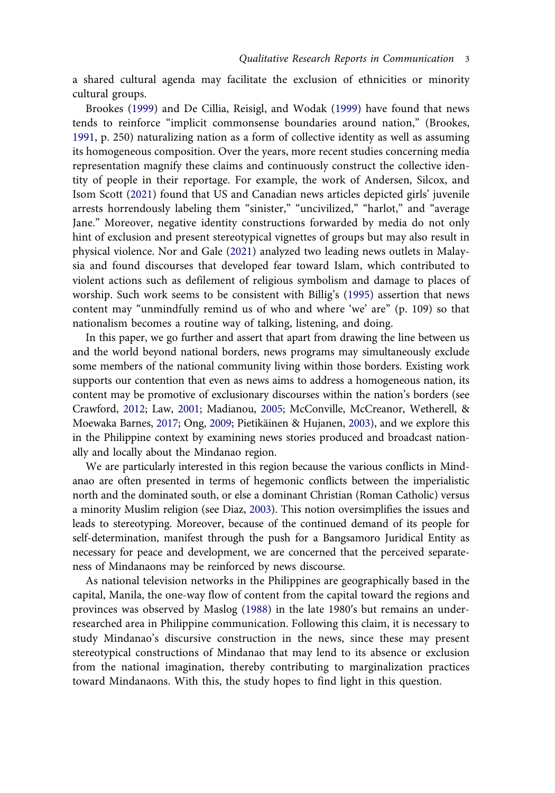a shared cultural agenda may facilitate the exclusion of ethnicities or minority cultural groups.

<span id="page-4-4"></span><span id="page-4-2"></span><span id="page-4-0"></span>Brookes ([1999\)](#page-10-5) and De Cillia, Reisigl, and Wodak [\(1999\)](#page-10-6) have found that news tends to reinforce "implicit commonsense boundaries around nation," (Brookes, [1991,](#page-10-7) p. 250) naturalizing nation as a form of collective identity as well as assuming its homogeneous composition. Over the years, more recent studies concerning media representation magnify these claims and continuously construct the collective identity of people in their reportage. For example, the work of Andersen, Silcox, and Isom Scott [\(2021\)](#page-10-8) found that US and Canadian news articles depicted girls' juvenile arrests horrendously labeling them "sinister," "uncivilized," "harlot," and "average Jane." Moreover, negative identity constructions forwarded by media do not only hint of exclusion and present stereotypical vignettes of groups but may also result in physical violence. Nor and Gale [\(2021](#page-11-3)) analyzed two leading news outlets in Malaysia and found discourses that developed fear toward Islam, which contributed to violent actions such as defilement of religious symbolism and damage to places of worship. Such work seems to be consistent with Billig's ([1995\)](#page-10-9) assertion that news content may "unmindfully remind us of who and where 'we' are" (p. 109) so that nationalism becomes a routine way of talking, listening, and doing.

<span id="page-4-8"></span><span id="page-4-1"></span>In this paper, we go further and assert that apart from drawing the line between us and the world beyond national borders, news programs may simultaneously exclude some members of the national community living within those borders. Existing work supports our contention that even as news aims to address a homogeneous nation, its content may be promotive of exclusionary discourses within the nation's borders (see Crawford, [2012;](#page-10-10) Law, [2001](#page-11-4); Madianou, [2005;](#page-11-5) McConville, McCreanor, Wetherell, & Moewaka Barnes, [2017;](#page-11-6) Ong, [2009](#page-11-7); Pietikäinen & Hujanen, [2003](#page-11-8)), and we explore this in the Philippine context by examining news stories produced and broadcast nationally and locally about the Mindanao region.

<span id="page-4-7"></span><span id="page-4-5"></span><span id="page-4-3"></span>We are particularly interested in this region because the various conflicts in Mindanao are often presented in terms of hegemonic conflicts between the imperialistic north and the dominated south, or else a dominant Christian (Roman Catholic) versus a minority Muslim religion (see Diaz, [2003](#page-10-11)). This notion oversimplifies the issues and leads to stereotyping. Moreover, because of the continued demand of its people for self-determination, manifest through the push for a Bangsamoro Juridical Entity as necessary for peace and development, we are concerned that the perceived separateness of Mindanaons may be reinforced by news discourse.

<span id="page-4-6"></span>As national television networks in the Philippines are geographically based in the capital, Manila, the one-way flow of content from the capital toward the regions and provinces was observed by Maslog ([1988](#page-11-9)) in the late 1980ʹs but remains an underresearched area in Philippine communication. Following this claim, it is necessary to study Mindanao's discursive construction in the news, since these may present stereotypical constructions of Mindanao that may lend to its absence or exclusion from the national imagination, thereby contributing to marginalization practices toward Mindanaons. With this, the study hopes to find light in this question.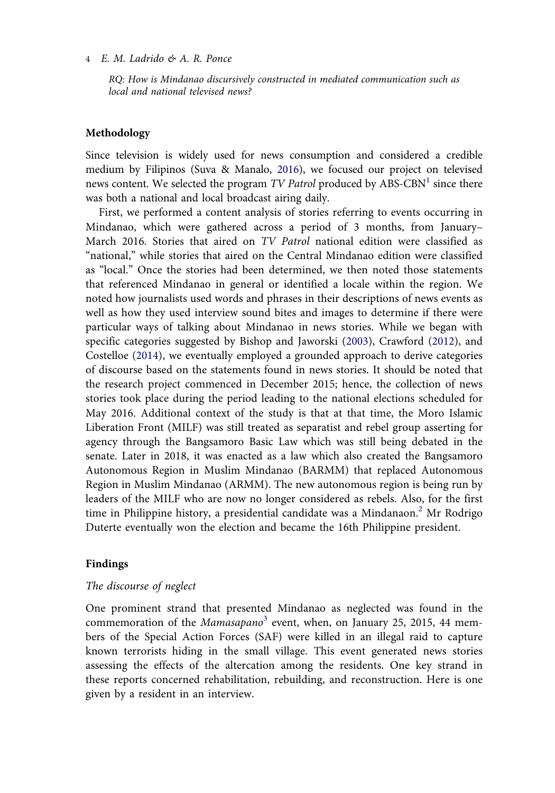*RQ: How is Mindanao discursively constructed in mediated communication such as local and national televised news?*

#### **Methodology**

<span id="page-5-2"></span>Since television is widely used for news consumption and considered a credible medium by Filipinos (Suva & Manalo, [2016](#page-11-10)), we focused our project on televised news content. We selected the program *TV Patrol* produced by ABS-CBN<sup>1</sup> since there was both a national and local broadcast airing daily.

<span id="page-5-1"></span><span id="page-5-0"></span>First, we performed a content analysis of stories referring to events occurring in Mindanao, which were gathered across a period of 3 months, from January– March 2016. Stories that aired on *TV Patrol* national edition were classified as "national," while stories that aired on the Central Mindanao edition were classified as "local." Once the stories had been determined, we then noted those statements that referenced Mindanao in general or identified a locale within the region. We noted how journalists used words and phrases in their descriptions of news events as well as how they used interview sound bites and images to determine if there were particular ways of talking about Mindanao in news stories. While we began with specific categories suggested by Bishop and Jaworski [\(2003](#page-10-12)), Crawford [\(2012\)](#page-10-10), and Costelloe ([2014\)](#page-10-13), we eventually employed a grounded approach to derive categories of discourse based on the statements found in news stories. It should be noted that the research project commenced in December 2015; hence, the collection of news stories took place during the period leading to the national elections scheduled for May 2016. Additional context of the study is that at that time, the Moro Islamic Liberation Front (MILF) was still treated as separatist and rebel group asserting for agency through the Bangsamoro Basic Law which was still being debated in the senate. Later in 2018, it was enacted as a law which also created the Bangsamoro Autonomous Region in Muslim Mindanao (BARMM) that replaced Autonomous Region in Muslim Mindanao (ARMM). The new autonomous region is being run by leaders of the MILF who are now no longer considered as rebels. Also, for the first time in Philippine history, a presidential candidate was a Mindanaon.<sup>2</sup> Mr Rodrigo Duterte eventually won the election and became the 16th Philippine president.

#### **Findings**

#### *The discourse of neglect*

One prominent strand that presented Mindanao as neglected was found in the commemoration of the *Mamasapano*<sup>3</sup> event, when, on January 25, 2015, 44 members of the Special Action Forces (SAF) were killed in an illegal raid to capture known terrorists hiding in the small village. This event generated news stories assessing the effects of the altercation among the residents. One key strand in these reports concerned rehabilitation, rebuilding, and reconstruction. Here is one given by a resident in an interview.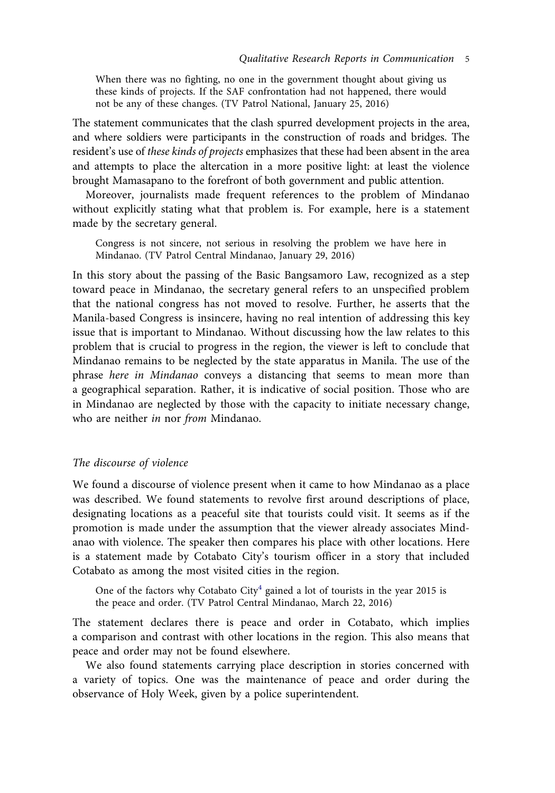When there was no fighting, no one in the government thought about giving us these kinds of projects. If the SAF confrontation had not happened, there would not be any of these changes. (TV Patrol National, January 25, 2016)

The statement communicates that the clash spurred development projects in the area, and where soldiers were participants in the construction of roads and bridges. The resident's use of *these kinds of projects* emphasizes that these had been absent in the area and attempts to place the altercation in a more positive light: at least the violence brought Mamasapano to the forefront of both government and public attention.

Moreover, journalists made frequent references to the problem of Mindanao without explicitly stating what that problem is. For example, here is a statement made by the secretary general.

Congress is not sincere, not serious in resolving the problem we have here in Mindanao. (TV Patrol Central Mindanao, January 29, 2016)

In this story about the passing of the Basic Bangsamoro Law, recognized as a step toward peace in Mindanao, the secretary general refers to an unspecified problem that the national congress has not moved to resolve. Further, he asserts that the Manila-based Congress is insincere, having no real intention of addressing this key issue that is important to Mindanao. Without discussing how the law relates to this problem that is crucial to progress in the region, the viewer is left to conclude that Mindanao remains to be neglected by the state apparatus in Manila. The use of the phrase *here in Mindanao* conveys a distancing that seems to mean more than a geographical separation. Rather, it is indicative of social position. Those who are in Mindanao are neglected by those with the capacity to initiate necessary change, who are neither *in* nor *from* Mindanao.

#### *The discourse of violence*

We found a discourse of violence present when it came to how Mindanao as a place was described. We found statements to revolve first around descriptions of place, designating locations as a peaceful site that tourists could visit. It seems as if the promotion is made under the assumption that the viewer already associates Mindanao with violence. The speaker then compares his place with other locations. Here is a statement made by Cotabato City's tourism officer in a story that included Cotabato as among the most visited cities in the region.

One of the factors why Cotabato City<sup>4</sup> gained a lot of tourists in the year 2015 is the peace and order. (TV Patrol Central Mindanao, March 22, 2016)

The statement declares there is peace and order in Cotabato, which implies a comparison and contrast with other locations in the region. This also means that peace and order may not be found elsewhere.

We also found statements carrying place description in stories concerned with a variety of topics. One was the maintenance of peace and order during the observance of Holy Week, given by a police superintendent.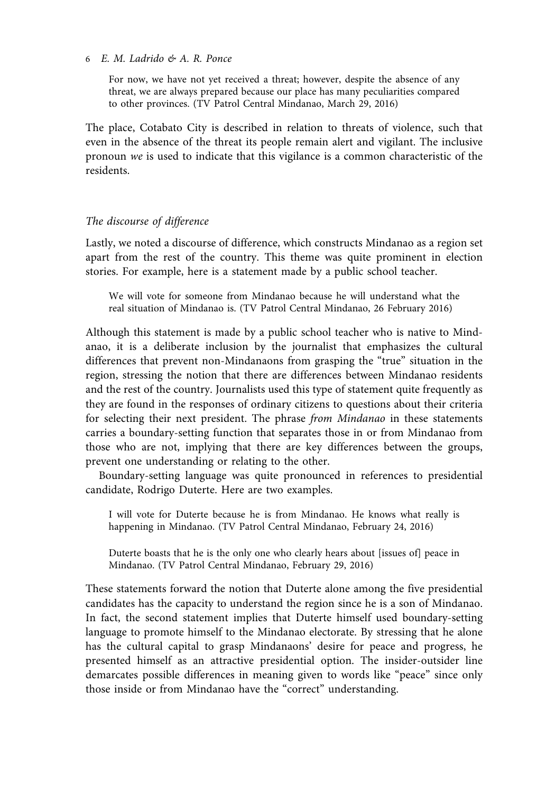For now, we have not yet received a threat; however, despite the absence of any threat, we are always prepared because our place has many peculiarities compared to other provinces. (TV Patrol Central Mindanao, March 29, 2016)

The place, Cotabato City is described in relation to threats of violence, such that even in the absence of the threat its people remain alert and vigilant. The inclusive pronoun *we* is used to indicate that this vigilance is a common characteristic of the residents.

#### *The discourse of difference*

Lastly, we noted a discourse of difference, which constructs Mindanao as a region set apart from the rest of the country. This theme was quite prominent in election stories. For example, here is a statement made by a public school teacher.

We will vote for someone from Mindanao because he will understand what the real situation of Mindanao is. (TV Patrol Central Mindanao, 26 February 2016)

Although this statement is made by a public school teacher who is native to Mindanao, it is a deliberate inclusion by the journalist that emphasizes the cultural differences that prevent non-Mindanaons from grasping the "true" situation in the region, stressing the notion that there are differences between Mindanao residents and the rest of the country. Journalists used this type of statement quite frequently as they are found in the responses of ordinary citizens to questions about their criteria for selecting their next president. The phrase *from Mindanao* in these statements carries a boundary-setting function that separates those in or from Mindanao from those who are not, implying that there are key differences between the groups, prevent one understanding or relating to the other.

Boundary-setting language was quite pronounced in references to presidential candidate, Rodrigo Duterte. Here are two examples.

I will vote for Duterte because he is from Mindanao. He knows what really is happening in Mindanao. (TV Patrol Central Mindanao, February 24, 2016)

Duterte boasts that he is the only one who clearly hears about [issues of] peace in Mindanao. (TV Patrol Central Mindanao, February 29, 2016)

These statements forward the notion that Duterte alone among the five presidential candidates has the capacity to understand the region since he is a son of Mindanao. In fact, the second statement implies that Duterte himself used boundary-setting language to promote himself to the Mindanao electorate. By stressing that he alone has the cultural capital to grasp Mindanaons' desire for peace and progress, he presented himself as an attractive presidential option. The insider-outsider line demarcates possible differences in meaning given to words like "peace" since only those inside or from Mindanao have the "correct" understanding.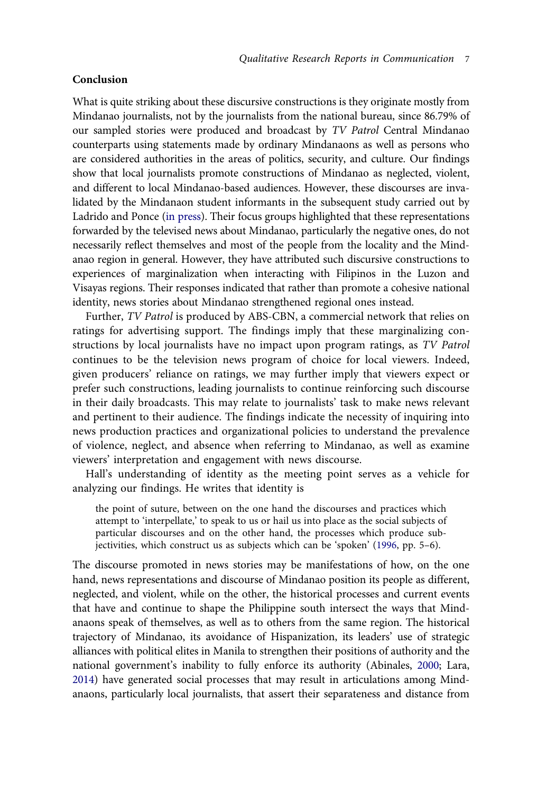#### **Conclusion**

What is quite striking about these discursive constructions is they originate mostly from Mindanao journalists, not by the journalists from the national bureau, since 86.79% of our sampled stories were produced and broadcast by *TV Patrol* Central Mindanao counterparts using statements made by ordinary Mindanaons as well as persons who are considered authorities in the areas of politics, security, and culture. Our findings show that local journalists promote constructions of Mindanao as neglected, violent, and different to local Mindanao-based audiences. However, these discourses are invalidated by the Mindanaon student informants in the subsequent study carried out by Ladrido and Ponce ([in press](#page-10-14)). Their focus groups highlighted that these representations forwarded by the televised news about Mindanao, particularly the negative ones, do not necessarily reflect themselves and most of the people from the locality and the Mindanao region in general. However, they have attributed such discursive constructions to experiences of marginalization when interacting with Filipinos in the Luzon and Visayas regions. Their responses indicated that rather than promote a cohesive national identity, news stories about Mindanao strengthened regional ones instead.

<span id="page-8-2"></span>Further, *TV Patrol* is produced by ABS-CBN, a commercial network that relies on ratings for advertising support. The findings imply that these marginalizing constructions by local journalists have no impact upon program ratings, as *TV Patrol*  continues to be the television news program of choice for local viewers. Indeed, given producers' reliance on ratings, we may further imply that viewers expect or prefer such constructions, leading journalists to continue reinforcing such discourse in their daily broadcasts. This may relate to journalists' task to make news relevant and pertinent to their audience. The findings indicate the necessity of inquiring into news production practices and organizational policies to understand the prevalence of violence, neglect, and absence when referring to Mindanao, as well as examine viewers' interpretation and engagement with news discourse.

Hall's understanding of identity as the meeting point serves as a vehicle for analyzing our findings. He writes that identity is

<span id="page-8-1"></span>the point of suture, between on the one hand the discourses and practices which attempt to 'interpellate,' to speak to us or hail us into place as the social subjects of particular discourses and on the other hand, the processes which produce subjectivities, which construct us as subjects which can be 'spoken' ([1996](#page-10-15), pp. 5–6).

<span id="page-8-0"></span>The discourse promoted in news stories may be manifestations of how, on the one hand, news representations and discourse of Mindanao position its people as different, neglected, and violent, while on the other, the historical processes and current events that have and continue to shape the Philippine south intersect the ways that Mindanaons speak of themselves, as well as to others from the same region. The historical trajectory of Mindanao, its avoidance of Hispanization, its leaders' use of strategic alliances with political elites in Manila to strengthen their positions of authority and the national government's inability to fully enforce its authority (Abinales, [2000;](#page-10-16) Lara, [2014](#page-11-11)) have generated social processes that may result in articulations among Mindanaons, particularly local journalists, that assert their separateness and distance from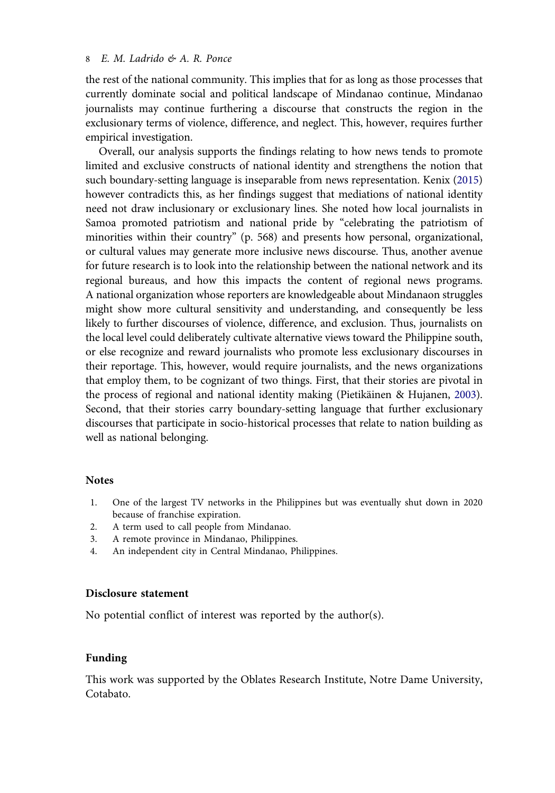the rest of the national community. This implies that for as long as those processes that currently dominate social and political landscape of Mindanao continue, Mindanao journalists may continue furthering a discourse that constructs the region in the exclusionary terms of violence, difference, and neglect. This, however, requires further empirical investigation.

<span id="page-9-4"></span>Overall, our analysis supports the findings relating to how news tends to promote limited and exclusive constructs of national identity and strengthens the notion that such boundary-setting language is inseparable from news representation. Kenix [\(2015\)](#page-10-17) however contradicts this, as her findings suggest that mediations of national identity need not draw inclusionary or exclusionary lines. She noted how local journalists in Samoa promoted patriotism and national pride by "celebrating the patriotism of minorities within their country" (p. 568) and presents how personal, organizational, or cultural values may generate more inclusive news discourse. Thus, another avenue for future research is to look into the relationship between the national network and its regional bureaus, and how this impacts the content of regional news programs. A national organization whose reporters are knowledgeable about Mindanaon struggles might show more cultural sensitivity and understanding, and consequently be less likely to further discourses of violence, difference, and exclusion. Thus, journalists on the local level could deliberately cultivate alternative views toward the Philippine south, or else recognize and reward journalists who promote less exclusionary discourses in their reportage. This, however, would require journalists, and the news organizations that employ them, to be cognizant of two things. First, that their stories are pivotal in the process of regional and national identity making (Pietikäinen & Hujanen, [2003](#page-11-8)). Second, that their stories carry boundary-setting language that further exclusionary discourses that participate in socio-historical processes that relate to nation building as well as national belonging.

#### **Notes**

- <span id="page-9-0"></span>1. One of the largest TV networks in the Philippines but was eventually shut down in 2020 because of franchise expiration.
- <span id="page-9-1"></span>2. A term used to call people from Mindanao.
- <span id="page-9-2"></span>3. A remote province in Mindanao, Philippines.
- <span id="page-9-3"></span>4. An independent city in Central Mindanao, Philippines.

#### **Disclosure statement**

No potential conflict of interest was reported by the author(s).

#### **Funding**

This work was supported by the Oblates Research Institute, Notre Dame University, Cotabato.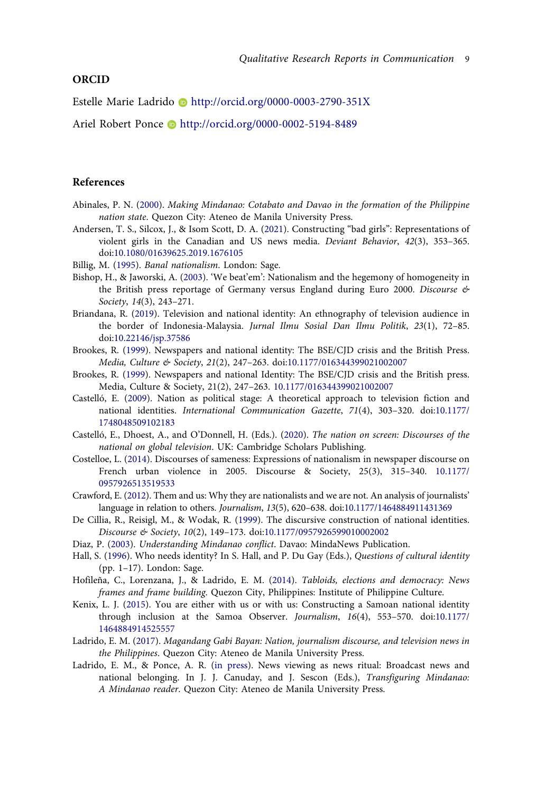#### **ORCID**

Estelle Marie Ladrido http://orcid.org/0000-0003-2790-351X

Ariel Robert Ponce **b** http://orcid.org/0000-0002-5194-8489

#### **References**

- <span id="page-10-16"></span>Abinales, P. N. ([2000](#page-8-0)). *Making Mindanao: Cotabato and Davao in the formation of the Philippine nation state*. Quezon City: Ateneo de Manila University Press.
- <span id="page-10-8"></span>Andersen, T. S., Silcox, J., & Isom Scott, D. A. [\(2021](#page-4-0)). Constructing "bad girls": Representations of violent girls in the Canadian and US news media. *Deviant Behavior*, *42*(3), 353–365. doi:[10.1080/01639625.2019.1676105](https://doi.org/10.1080/01639625.2019.1676105)
- <span id="page-10-9"></span>Billig, M. ([1995](#page-4-1)). *Banal nationalism*. London: Sage.
- <span id="page-10-12"></span>Bishop, H., & Jaworski, A. ([2003\)](#page-5-0). 'We beat'em': Nationalism and the hegemony of homogeneity in the British press reportage of Germany versus England during Euro 2000. *Discourse & Society*, *14*(3), 243–271.
- <span id="page-10-1"></span>Briandana, R. ([2019\)](#page-3-0). Television and national identity: An ethnography of television audience in the border of Indonesia-Malaysia. *Jurnal Ilmu Sosial Dan Ilmu Politik*, *23*(1), 72–85. doi:[10.22146/jsp.37586](https://doi.org/10.22146/jsp.37586)
- <span id="page-10-5"></span>Brookes, R. ([1999\)](#page-3-1). Newspapers and national identity: The BSE/CJD crisis and the British Press. *Media, Culture & Society*, *21*(2), 247–263. doi:[10.1177/016344399021002007](https://doi.org/10.1177/016344399021002007)
- <span id="page-10-7"></span>Brookes, R. [\(1999\)](#page-4-2). Newspapers and national Identity: The BSE/CJD crisis and the British press. Media, Culture & Society, 21(2), 247–263. [10.1177/016344399021002007](https://doi.org/10.1177/016344399021002007)
- <span id="page-10-2"></span>Castelló, E. ([2009](#page-3-2)). Nation as political stage: A theoretical approach to television fiction and national identities. *International Communication Gazette*, *71*(4), 303–320. doi:[10.1177/](https://doi.org/10.1177/1748048509102183) [1748048509102183](https://doi.org/10.1177/1748048509102183)
- <span id="page-10-0"></span>Castelló, E., Dhoest, A., and O'Donnell, H. (Eds.). ([2020](#page-3-3)). *The nation on screen: Discourses of the national on global television*. UK: Cambridge Scholars Publishing.
- <span id="page-10-13"></span>Costelloe, L. ([2014](#page-5-1)). Discourses of sameness: Expressions of nationalism in newspaper discourse on French urban violence in 2005. Discourse & Society, 25(3), 315–340. [10.1177/](https://doi.org/10.1177/0957926513519533) [0957926513519533](https://doi.org/10.1177/0957926513519533)
- <span id="page-10-10"></span>Crawford, E. ([2012](#page-4-3)). Them and us: Why they are nationalists and we are not. An analysis of journalists' language in relation to others. *Journalism*, *13*(5), 620–638. doi:[10.1177/1464884911431369](https://doi.org/10.1177/1464884911431369)
- <span id="page-10-6"></span>De Cillia, R., Reisigl, M., & Wodak, R. [\(1999\)](#page-4-4). The discursive construction of national identities. *Discourse & Society*, *10*(2), 149–173. doi:[10.1177/0957926599010002002](https://doi.org/10.1177/0957926599010002002)
- <span id="page-10-11"></span>Diaz, P. ([2003](#page-4-5)). *Understanding Mindanao conflict*. Davao: MindaNews Publication.
- <span id="page-10-15"></span>Hall, S. ([1996\)](#page-8-1). Who needs identity? In S. Hall, and P. Du Gay (Eds.), *Questions of cultural identity*  (pp. 1–17). London: Sage.
- <span id="page-10-3"></span>Hofileña, C., Lorenzana, J., & Ladrido, E. M. [\(2014\)](#page-3-4). *Tabloids, elections and democracy: News frames and frame building*. Quezon City, Philippines: Institute of Philippine Culture.
- <span id="page-10-17"></span>Kenix, L. J. ([2015](#page-9-4)). You are either with us or with us: Constructing a Samoan national identity through inclusion at the Samoa Observer. *Journalism*, *16*(4), 553–570. doi:[10.1177/](https://doi.org/10.1177/1464884914525557) [1464884914525557](https://doi.org/10.1177/1464884914525557)
- <span id="page-10-4"></span>Ladrido, E. M. ([2017\)](#page-3-5). *Magandang Gabi Bayan: Nation, journalism discourse, and television news in the Philippines*. Quezon City: Ateneo de Manila University Press.
- <span id="page-10-14"></span>Ladrido, E. M., & Ponce, A. R. ([in press\)](#page-8-2). News viewing as news ritual: Broadcast news and national belonging. In J. J. Canuday, and J. Sescon (Eds.), *Transfiguring Mindanao: A Mindanao reader*. Quezon City: Ateneo de Manila University Press.